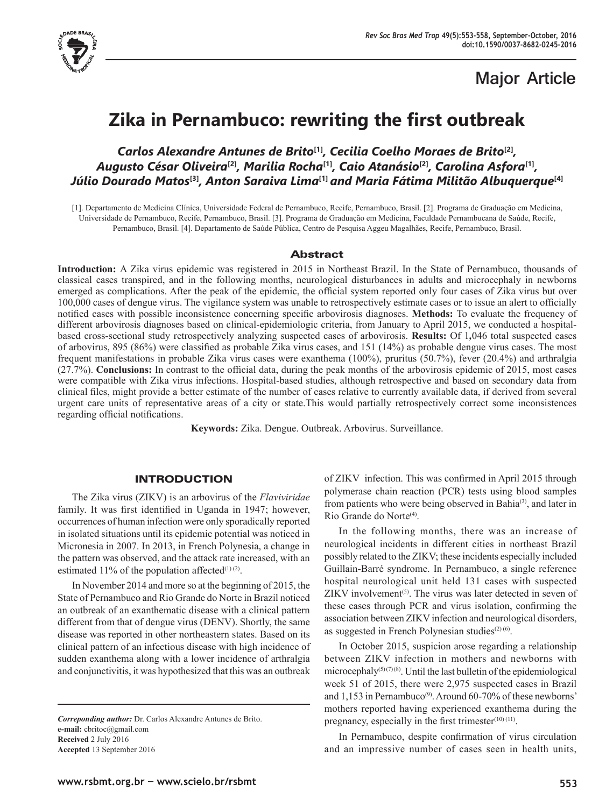

# **Major Article**

# **Zika in Pernambuco: rewriting the first outbreak**

# *Carlos Alexandre Antunes de Brito***[1]***, Cecilia Coelho Moraes de Brito***[2]***, Augusto César Oliveira***[2]***, Marilia Rocha***[1]***, Caio Atanásio***[2]***, Carolina Asfora***[1]***, Júlio Dourado Matos***[3]***, Anton Saraiva Lima***[1]** *and Maria Fátima Militão Albuquerque***[4]**

[1]. Departamento de Medicina Clínica, Universidade Federal de Pernambuco, Recife, Pernambuco, Brasil. [2]. Programa de Graduação em Medicina, Universidade de Pernambuco, Recife, Pernambuco, Brasil. [3]. Programa de Graduação em Medicina, Faculdade Pernambucana de Saúde, Recife, Pernambuco, Brasil. [4]. Departamento de Saúde Pública, Centro de Pesquisa Aggeu Magalhães, Recife, Pernambuco, Brasil.

# Abstract

**Introduction:** A Zika virus epidemic was registered in 2015 in Northeast Brazil. In the State of Pernambuco, thousands of classical cases transpired, and in the following months, neurological disturbances in adults and microcephaly in newborns emerged as complications. After the peak of the epidemic, the official system reported only four cases of Zika virus but over 100,000 cases of dengue virus. The vigilance system was unable to retrospectively estimate cases or to issue an alert to officially notified cases with possible inconsistence concerning specific arbovirosis diagnoses. **Methods:** To evaluate the frequency of different arbovirosis diagnoses based on clinical-epidemiologic criteria, from January to April 2015, we conducted a hospitalbased cross-sectional study retrospectively analyzing suspected cases of arbovirosis. **Results:** Of 1*,*046 total suspected cases of arbovirus, 895 (86%) were classified as probable Zika virus cases, and 151 (14%) as probable dengue virus cases. The most frequent manifestations in probable Zika virus cases were exanthema (100%), pruritus (50.7%), fever (20.4%) and arthralgia (27.7%). **Conclusions:** In contrast to the official data, during the peak months of the arbovirosis epidemic of 2015, most cases were compatible with Zika virus infections. Hospital-based studies, although retrospective and based on secondary data from clinical files, might provide a better estimate of the number of cases relative to currently available data, if derived from several urgent care units of representative areas of a city or state.This would partially retrospectively correct some inconsistences regarding official notifications.

**Keywords:** Zika. Dengue. Outbreak. Arbovirus. Surveillance.

# INTRODUCTION

The Zika virus (ZIKV) is an arbovirus of the *Flaviviridae* family. It was first identified in Uganda in 1947; however, occurrences of human infection were only sporadically reported in isolated situations until its epidemic potential was noticed in Micronesia in 2007. In 2013, in French Polynesia, a change in the pattern was observed, and the attack rate increased, with an estimated 11% of the population affected $(1)(2)$ .

In November 2014 and more so at the beginning of 2015, the State of Pernambuco and Rio Grande do Norte in Brazil noticed an outbreak of an exanthematic disease with a clinical pattern different from that of dengue virus (DENV). Shortly, the same disease was reported in other northeastern states. Based on its clinical pattern of an infectious disease with high incidence of sudden exanthema along with a lower incidence of arthralgia and conjunctivitis, it was hypothesized that this was an outbreak

*Correponding author:* Dr. Carlos Alexandre Antunes de Brito. **e-mail:** cbritoc@gmail.com **Received** 2 July 2016 **Accepted** 13 September 2016

of ZIKV infection. This was confirmed in April 2015 through polymerase chain reaction (PCR) tests using blood samples from patients who were being observed in Bahia<sup>(3)</sup>, and later in Rio Grande do Norte<sup>(4)</sup>.

In the following months, there was an increase of neurological incidents in different cities in northeast Brazil possibly related to the ZIKV; these incidents especially included Guillain-Barré syndrome. In Pernambuco, a single reference hospital neurological unit held 131 cases with suspected  $ZIKV$  involvement<sup> $(5)$ </sup>. The virus was later detected in seven of these cases through PCR and virus isolation, confirming the association between ZIKV infection and neurological disorders, as suggested in French Polynesian studies $(2)(6)$ .

In October 2015, suspicion arose regarding a relationship between ZIKV infection in mothers and newborns with microcephaly<sup>(5)(7)(8)</sup>. Until the last bulletin of the epidemiological week 51 of 2015, there were 2,975 suspected cases in Brazil and  $1,153$  in Pernambuco<sup>(9)</sup>. Around 60-70% of these newborns' mothers reported having experienced exanthema during the pregnancy, especially in the first trimester<sup>(10) (11)</sup>.

In Pernambuco, despite confirmation of virus circulation and an impressive number of cases seen in health units,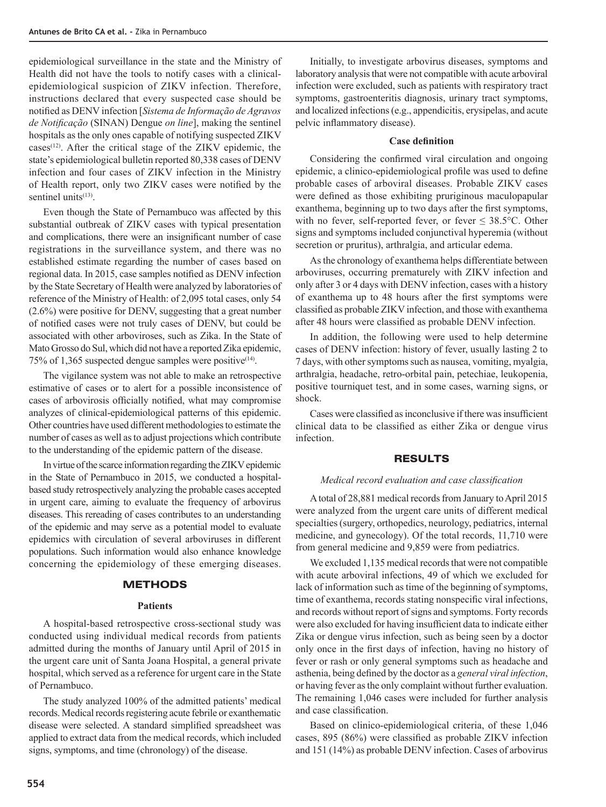epidemiological surveillance in the state and the Ministry of Health did not have the tools to notify cases with a clinicalepidemiological suspicion of ZIKV infection. Therefore, instructions declared that every suspected case should be notified as DENV infection [*Sistema de Informação de Agravos de Notificação* (SINAN) Dengue *on line*], making the sentinel hospitals as the only ones capable of notifying suspected ZIKV cases(12). After the critical stage of the ZIKV epidemic, the state's epidemiological bulletin reported 80,338 cases of DENV infection and four cases of ZIKV infection in the Ministry of Health report, only two ZIKV cases were notified by the sentinel units $(13)$ .

Even though the State of Pernambuco was affected by this substantial outbreak of ZIKV cases with typical presentation and complications, there were an insignificant number of case registrations in the surveillance system, and there was no established estimate regarding the number of cases based on regional data. In 2015, case samples notified as DENV infection by the State Secretary of Health were analyzed by laboratories of reference of the Ministry of Health: of 2,095 total cases, only 54 (2.6%) were positive for DENV, suggesting that a great number of notified cases were not truly cases of DENV, but could be associated with other arboviroses, such as Zika. In the State of Mato Grosso do Sul, which did not have a reported Zika epidemic, 75% of 1,365 suspected dengue samples were positive(14).

The vigilance system was not able to make an retrospective estimative of cases or to alert for a possible inconsistence of cases of arbovirosis officially notified, what may compromise analyzes of clinical-epidemiological patterns of this epidemic. Other countries have used different methodologies to estimate the number of cases as well as to adjust projections which contribute to the understanding of the epidemic pattern of the disease.

In virtue of the scarce information regarding the ZIKV epidemic in the State of Pernambuco in 2015, we conducted a hospitalbased study retrospectively analyzing the probable cases accepted in urgent care, aiming to evaluate the frequency of arbovirus diseases. This rereading of cases contributes to an understanding of the epidemic and may serve as a potential model to evaluate epidemics with circulation of several arboviruses in different populations. Such information would also enhance knowledge concerning the epidemiology of these emerging diseases.

# **METHODS**

# **Patients**

A hospital-based retrospective cross-sectional study was conducted using individual medical records from patients admitted during the months of January until April of 2015 in the urgent care unit of Santa Joana Hospital, a general private hospital, which served as a reference for urgent care in the State of Pernambuco.

The study analyzed 100% of the admitted patients' medical records. Medical records registering acute febrile or exanthematic disease were selected. A standard simplified spreadsheet was applied to extract data from the medical records, which included signs, symptoms, and time (chronology) of the disease.

Initially, to investigate arbovirus diseases, symptoms and laboratory analysis that were not compatible with acute arboviral infection were excluded, such as patients with respiratory tract symptoms, gastroenteritis diagnosis, urinary tract symptoms, and localized infections (e.g., appendicitis, erysipelas, and acute pelvic inflammatory disease).

#### **Case definition**

Considering the confirmed viral circulation and ongoing epidemic, a clinico-epidemiological profile was used to define probable cases of arboviral diseases. Probable ZIKV cases were defined as those exhibiting pruriginous maculopapular exanthema, beginning up to two days after the first symptoms, with no fever, self-reported fever, or fever  $\leq 38.5^{\circ}$ C. Other signs and symptoms included conjunctival hyperemia (without secretion or pruritus), arthralgia, and articular edema.

As the chronology of exanthema helps differentiate between arboviruses, occurring prematurely with ZIKV infection and only after 3 or 4 days with DENV infection, cases with a history of exanthema up to 48 hours after the first symptoms were classified as probable ZIKV infection, and those with exanthema after 48 hours were classified as probable DENV infection.

In addition, the following were used to help determine cases of DENV infection: history of fever, usually lasting 2 to 7 days, with other symptoms such as nausea, vomiting, myalgia, arthralgia, headache, retro-orbital pain, petechiae, leukopenia, positive tourniquet test, and in some cases, warning signs, or shock.

Cases were classified as inconclusive if there was insufficient clinical data to be classified as either Zika or dengue virus infection.

### RESULTS

### *Medical record evaluation and case classification*

A total of 28,881 medical records from January to April 2015 were analyzed from the urgent care units of different medical specialties (surgery, orthopedics, neurology, pediatrics, internal medicine, and gynecology). Of the total records, 11,710 were from general medicine and 9,859 were from pediatrics.

We excluded 1,135 medical records that were not compatible with acute arboviral infections, 49 of which we excluded for lack of information such as time of the beginning of symptoms, time of exanthema, records stating nonspecific viral infections, and records without report of signs and symptoms. Forty records were also excluded for having insufficient data to indicate either Zika or dengue virus infection, such as being seen by a doctor only once in the first days of infection, having no history of fever or rash or only general symptoms such as headache and asthenia, being defined by the doctor as a *general viral infection*, or having fever as the only complaint without further evaluation. The remaining 1,046 cases were included for further analysis and case classification.

Based on clinico-epidemiological criteria, of these 1,046 cases, 895 (86%) were classified as probable ZIKV infection and 151 (14%) as probable DENV infection. Cases of arbovirus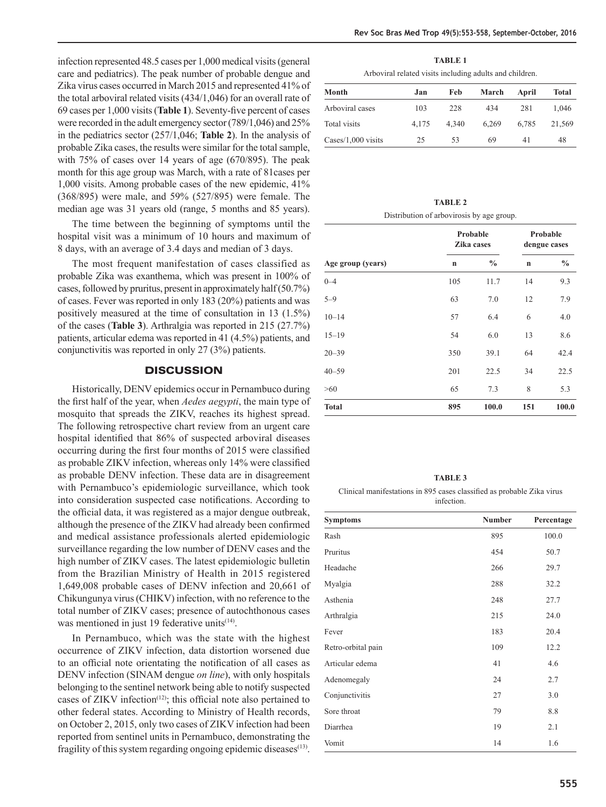infection represented 48.5 cases per 1,000 medical visits (general care and pediatrics). The peak number of probable dengue and Zika virus cases occurred in March 2015 and represented 41% of the total arboviral related visits (434/1,046) for an overall rate of 69 cases per 1,000 visits (**Table 1**). Seventy-five percent of cases were recorded in the adult emergency sector (789/1,046) and 25% in the pediatrics sector (257/1,046; **Table 2**). In the analysis of probable Zika cases, the results were similar for the total sample, with 75% of cases over 14 years of age (670/895). The peak month for this age group was March, with a rate of 81cases per 1,000 visits. Among probable cases of the new epidemic, 41% (368/895) were male, and 59% (527/895) were female. The median age was 31 years old (range, 5 months and 85 years).

The time between the beginning of symptoms until the hospital visit was a minimum of 10 hours and maximum of 8 days, with an average of 3.4 days and median of 3 days.

The most frequent manifestation of cases classified as probable Zika was exanthema, which was present in 100% of cases, followed by pruritus, present in approximately half (50.7%) of cases. Fever was reported in only 183 (20%) patients and was positively measured at the time of consultation in 13 (1.5%) of the cases (**Table 3**). Arthralgia was reported in 215 (27.7%) patients, articular edema was reported in 41 (4.5%) patients, and conjunctivitis was reported in only 27 (3%) patients.

# **DISCUSSION**

Historically, DENV epidemics occur in Pernambuco during the first half of the year, when *Aedes aegypti*, the main type of mosquito that spreads the ZIKV, reaches its highest spread. The following retrospective chart review from an urgent care hospital identified that 86% of suspected arboviral diseases occurring during the first four months of 2015 were classified as probable ZIKV infection, whereas only 14% were classified as probable DENV infection. These data are in disagreement with Pernambuco's epidemiologic surveillance, which took into consideration suspected case notifications. According to the official data, it was registered as a major dengue outbreak, although the presence of the ZIKV had already been confirmed and medical assistance professionals alerted epidemiologic surveillance regarding the low number of DENV cases and the high number of ZIKV cases. The latest epidemiologic bulletin from the Brazilian Ministry of Health in 2015 registered 1,649,008 probable cases of DENV infection and 20,661 of Chikungunya virus (CHIKV) infection, with no reference to the total number of ZIKV cases; presence of autochthonous cases was mentioned in just 19 federative units<sup>(14)</sup>.

In Pernambuco, which was the state with the highest occurrence of ZIKV infection, data distortion worsened due to an official note orientating the notification of all cases as DENV infection (SINAM dengue *on line*), with only hospitals belonging to the sentinel network being able to notify suspected cases of ZIKV infection<sup>(12)</sup>; this official note also pertained to other federal states. According to Ministry of Health records, on October 2, 2015, only two cases of ZIKV infection had been reported from sentinel units in Pernambuco, demonstrating the fragility of this system regarding ongoing epidemic diseases<sup>(13)</sup>.

**TABLE 1** Arboviral related visits including adults and children.

| Month              | Jan   | Feb   | March | April | Total  |
|--------------------|-------|-------|-------|-------|--------|
| Arboviral cases    | 103   | 228   | 434   | 281   | 1.046  |
| Total visits       | 4.175 | 4.340 | 6.269 | 6.785 | 21,569 |
| Cases/1,000 visits | 25    | 53    | 69    | 41    | 48     |

**TABLE 2** Distribution of arbovirosis by age group.

| Age group (years) | Probable<br>Zika cases |               | Probable<br>dengue cases |               |
|-------------------|------------------------|---------------|--------------------------|---------------|
|                   | $\mathbf n$            | $\frac{0}{0}$ | $\mathbf n$              | $\frac{0}{0}$ |
| $0 - 4$           | 105                    | 11.7          | 14                       | 9.3           |
| $5 - 9$           | 63                     | 7.0           | 12                       | 7.9           |
| $10 - 14$         | 57                     | 6.4           | 6                        | 4.0           |
| $15 - 19$         | 54                     | 6.0           | 13                       | 8.6           |
| $20 - 39$         | 350                    | 39.1          | 64                       | 42.4          |
| $40 - 59$         | 201                    | 22.5          | 34                       | 22.5          |
| >60               | 65                     | 7.3           | 8                        | 5.3           |
| <b>Total</b>      | 895                    | 100.0         | 151                      | 100.0         |

**TABLE 3** Clinical manifestations in 895 cases classified as probable Zika virus infection.

| <b>Symptoms</b>    | <b>Number</b> | Percentage |
|--------------------|---------------|------------|
| Rash               | 895           | 100.0      |
| Pruritus           | 454           | 50.7       |
| Headache           | 266           | 29.7       |
| Myalgia            | 288           | 32.2       |
| Asthenia           | 248           | 27.7       |
| Arthralgia         | 215           | 24.0       |
| Fever              | 183           | 20.4       |
| Retro-orbital pain | 109           | 12.2       |
| Articular edema    | 41            | 4.6        |
| Adenomegaly        | 24            | 2.7        |
| Conjunctivitis     | 27            | 3.0        |
| Sore throat        | 79            | 8.8        |
| Diarrhea           | 19            | 2.1        |
| Vomit              | 14            | 1.6        |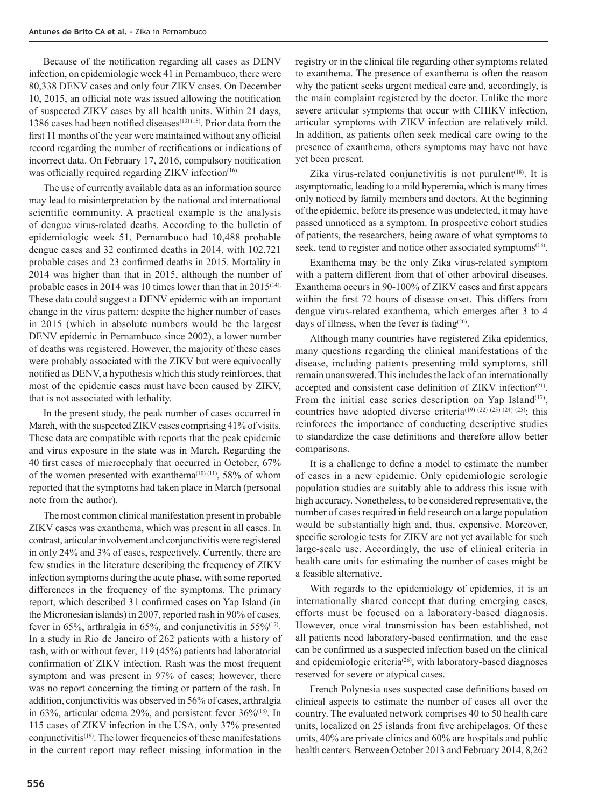Because of the notification regarding all cases as DENV infection, on epidemiologic week 41 in Pernambuco, there were 80,338 DENV cases and only four ZIKV cases. On December 10, 2015, an official note was issued allowing the notification of suspected ZIKV cases by all health units. Within 21 days, 1386 cases had been notified diseases $(13)(15)$ . Prior data from the first 11 months of the year were maintained without any official record regarding the number of rectifications or indications of incorrect data. On February 17, 2016, compulsory notification was officially required regarding ZIKV infection<sup>(16).</sup>

The use of currently available data as an information source may lead to misinterpretation by the national and international scientific community. A practical example is the analysis of dengue virus-related deaths. According to the bulletin of epidemiologic week 51, Pernambuco had 10,488 probable dengue cases and 32 confirmed deaths in 2014, with 102,721 probable cases and 23 confirmed deaths in 2015. Mortality in 2014 was higher than that in 2015, although the number of probable cases in 2014 was 10 times lower than that in 2015<sup>(14).</sup> These data could suggest a DENV epidemic with an important change in the virus pattern: despite the higher number of cases in 2015 (which in absolute numbers would be the largest DENV epidemic in Pernambuco since 2002), a lower number of deaths was registered. However, the majority of these cases were probably associated with the ZIKV but were equivocally notified as DENV, a hypothesis which this study reinforces, that most of the epidemic cases must have been caused by ZIKV, that is not associated with lethality.

In the present study, the peak number of cases occurred in March, with the suspected ZIKV cases comprising 41% of visits. These data are compatible with reports that the peak epidemic and virus exposure in the state was in March. Regarding the 40 first cases of microcephaly that occurred in October, 67% of the women presented with exanthema<sup> $(10)$ </sup> $(11)$ , 58% of whom reported that the symptoms had taken place in March (personal note from the author).

The most common clinical manifestation present in probable ZIKV cases was exanthema, which was present in all cases. In contrast, articular involvement and conjunctivitis were registered in only 24% and 3% of cases, respectively. Currently, there are few studies in the literature describing the frequency of ZIKV infection symptoms during the acute phase, with some reported differences in the frequency of the symptoms. The primary report, which described 31 confirmed cases on Yap Island (in the Micronesian islands) in 2007, reported rash in 90% of cases, fever in 65%, arthralgia in 65%, and conjunctivitis in 55% $(17)$ . In a study in Rio de Janeiro of 262 patients with a history of rash, with or without fever, 119 (45%) patients had laboratorial confirmation of ZIKV infection. Rash was the most frequent symptom and was present in 97% of cases; however, there was no report concerning the timing or pattern of the rash. In addition, conjunctivitis was observed in 56% of cases, arthralgia in 63%, articular edema 29%, and persistent fever 36%<sup>(18)</sup>. In 115 cases of ZIKV infection in the USA, only 37% presented conjunctivitis<sup>(19)</sup>. The lower frequencies of these manifestations in the current report may reflect missing information in the

registry or in the clinical file regarding other symptoms related to exanthema. The presence of exanthema is often the reason why the patient seeks urgent medical care and, accordingly, is the main complaint registered by the doctor. Unlike the more severe articular symptoms that occur with CHIKV infection, articular symptoms with ZIKV infection are relatively mild. In addition, as patients often seek medical care owing to the presence of exanthema, others symptoms may have not have yet been present.

Zika virus-related conjunctivitis is not purulent<sup> $(18)$ </sup>. It is asymptomatic, leading to a mild hyperemia, which is many times only noticed by family members and doctors. At the beginning of the epidemic, before its presence was undetected, it may have passed unnoticed as a symptom. In prospective cohort studies of patients, the researchers, being aware of what symptoms to seek, tend to register and notice other associated symptoms<sup>(18)</sup>.

Exanthema may be the only Zika virus-related symptom with a pattern different from that of other arboviral diseases. Exanthema occurs in 90-100% of ZIKV cases and first appears within the first 72 hours of disease onset. This differs from dengue virus-related exanthema, which emerges after 3 to 4 days of illness, when the fever is fading $(20)$ .

Although many countries have registered Zika epidemics, many questions regarding the clinical manifestations of the disease, including patients presenting mild symptoms, still remain unanswered. This includes the lack of an internationally accepted and consistent case definition of ZIKV infection<sup>(21)</sup>. From the initial case series description on Yap Island<sup>(17)</sup>, countries have adopted diverse criteria<sup>(19)</sup><sup>(22)</sup><sup>(23)</sup><sup>(24)</sup><sup>(25)</sup>; this reinforces the importance of conducting descriptive studies to standardize the case definitions and therefore allow better comparisons.

It is a challenge to define a model to estimate the number of cases in a new epidemic. Only epidemiologic serologic population studies are suitably able to address this issue with high accuracy. Nonetheless, to be considered representative, the number of cases required in field research on a large population would be substantially high and, thus, expensive. Moreover, specific serologic tests for ZIKV are not yet available for such large-scale use. Accordingly, the use of clinical criteria in health care units for estimating the number of cases might be a feasible alternative.

With regards to the epidemiology of epidemics, it is an internationally shared concept that during emerging cases, efforts must be focused on a laboratory-based diagnosis. However, once viral transmission has been established, not all patients need laboratory-based confirmation, and the case can be confirmed as a suspected infection based on the clinical and epidemiologic criteria<sup>(26)</sup>, with laboratory-based diagnoses reserved for severe or atypical cases.

French Polynesia uses suspected case definitions based on clinical aspects to estimate the number of cases all over the country. The evaluated network comprises 40 to 50 health care units, localized on 25 islands from five archipelagos. Of these units, 40% are private clinics and 60% are hospitals and public health centers. Between October 2013 and February 2014, 8,262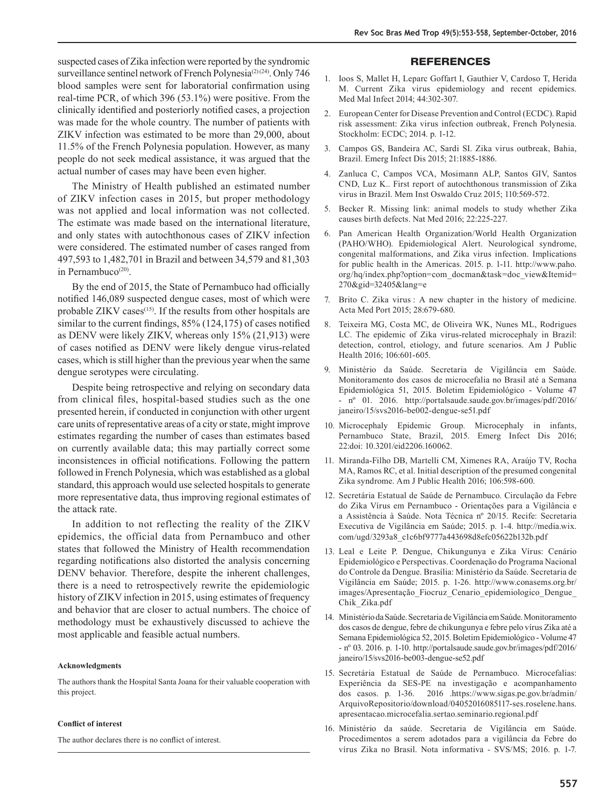suspected cases of Zika infection were reported by the syndromic surveillance sentinel network of French Polynesia<sup>(2)(24)</sup>. Only 746 blood samples were sent for laboratorial confirmation using real-time PCR, of which 396 (53.1%) were positive. From the clinically identified and posteriorly notified cases, a projection was made for the whole country. The number of patients with ZIKV infection was estimated to be more than 29,000, about 11.5% of the French Polynesia population. However, as many people do not seek medical assistance, it was argued that the actual number of cases may have been even higher.

The Ministry of Health published an estimated number of ZIKV infection cases in 2015, but proper methodology was not applied and local information was not collected. The estimate was made based on the international literature, and only states with autochthonous cases of ZIKV infection were considered. The estimated number of cases ranged from 497,593 to 1,482,701 in Brazil and between 34,579 and 81,303 in Pernambuco<sup>(20)</sup>.

By the end of 2015, the State of Pernambuco had officially notified 146,089 suspected dengue cases, most of which were probable ZIKV cases<sup>(15)</sup>. If the results from other hospitals are similar to the current findings, 85% (124,175) of cases notified as DENV were likely ZIKV, whereas only 15% (21,913) were of cases notified as DENV were likely dengue virus-related cases, which is still higher than the previous year when the same dengue serotypes were circulating.

Despite being retrospective and relying on secondary data from clinical files, hospital-based studies such as the one presented herein, if conducted in conjunction with other urgent care units of representative areas of a city or state, might improve estimates regarding the number of cases than estimates based on currently available data; this may partially correct some inconsistences in official notifications. Following the pattern followed in French Polynesia, which was established as a global standard, this approach would use selected hospitals to generate more representative data, thus improving regional estimates of the attack rate.

In addition to not reflecting the reality of the ZIKV epidemics, the official data from Pernambuco and other states that followed the Ministry of Health recommendation regarding notifications also distorted the analysis concerning DENV behavior. Therefore, despite the inherent challenges, there is a need to retrospectively rewrite the epidemiologic history of ZIKV infection in 2015, using estimates of frequency and behavior that are closer to actual numbers. The choice of methodology must be exhaustively discussed to achieve the most applicable and feasible actual numbers.

#### **Acknowledgments**

The authors thank the Hospital Santa Joana for their valuable cooperation with this project.

#### **Conflict of interest**

The author declares there is no conflict of interest.

#### **REFERENCES**

- 1. Ioos S, Mallet H, Leparc Goffart I, Gauthier V, Cardoso T, Herida M. Current Zika virus epidemiology and recent epidemics. Med Mal Infect 2014; 44:302-307.
- 2. European Center for Disease Prevention and Control (ECDC). Rapid risk assessment: Zika virus infection outbreak, French Polynesia. Stockholm: ECDC; 2014. p. 1-12.
- 3. Campos GS, Bandeira AC, Sardi SI. Zika virus outbreak, Bahia, Brazil. Emerg Infect Dis 2015; 21:1885-1886.
- 4. Zanluca C, Campos VCA, Mosimann ALP, Santos GIV, Santos CND, Luz K.. First report of autochthonous transmission of Zika virus in Brazil. Mem Inst Oswaldo Cruz 2015; 110:569-572.
- 5. Becker R. Missing link: animal models to study whether Zika causes birth defects. Nat Med 2016; 22:225-227.
- 6. Pan American Health Organization/World Health Organization (PAHO/WHO). Epidemiological Alert. Neurological syndrome, congenital malformations, and Zika virus infection. Implications for public health in the Americas. 2015. p. 1-11. http://www.paho. org/hq/index.php?option=com\_docman&task=doc\_view&Itemid= 270&gid=32405&lang=e
- 7. Brito C. Zika virus : A new chapter in the history of medicine. Acta Med Port 2015; 28:679-680.
- 8. Teixeira MG, Costa MC, de Oliveira WK, Nunes ML, Rodrigues LC. The epidemic of Zika virus-related microcephaly in Brazil: detection, control, etiology, and future scenarios. Am J Public Health 2016; 106:601-605.
- 9. Ministério da Saúde. Secretaria de Vigilância em Saúde. Monitoramento dos casos de microcefalia no Brasil até a Semana Epidemiológica 51, 2015. Boletim Epidemiológico - Volume 47 - nº 01. 2016. http://portalsaude.saude.gov.br/images/pdf/2016/ janeiro/15/svs2016-be002-dengue-se51.pdf
- 10. Microcephaly Epidemic Group. Microcephaly in infants, Pernambuco State, Brazil, 2015. Emerg Infect Dis 2016; 22:doi: 10.3201/eid2206.160062.
- 11. Miranda-Filho DB, Martelli CM, Ximenes RA, Araújo TV, Rocha MA, Ramos RC, et al. Initial description of the presumed congenital Zika syndrome. Am J Public Health 2016; 106:598-600.
- 12. Secretária Estatual de Saúde de Pernambuco. Circulação da Febre do Zika Vírus em Pernambuco - Orientações para a Vigilância e a Assistência à Saúde. Nota Técnica nº 20/15. Recife: Secretaria Executiva de Vigilância em Saúde; 2015. p. 1-4. http://media.wix. com/ugd/3293a8\_c1c6bf9777a443698d8efc05622b132b.pdf
- 13. Leal e Leite P. Dengue, Chikungunya e Zika Vírus: Cenário Epidemiológico e Perspectivas. Coordenação do Programa Nacional do Controle da Dengue. Brasília: Ministério da Saúde. Secretaria de Vigilância em Saúde; 2015. p. 1-26. http://www.conasems.org.br/ images/Apresentação\_Fiocruz\_Cenario\_epidemiologico\_Dengue\_ Chik\_Zika.pdf
- 14. Ministério da Saúde. Secretaria de Vigilância em Saúde. Monitoramento dos casos de dengue, febre de chikungunya e febre pelo vírus Zika até a Semana Epidemiológica 52, 2015. Boletim Epidemiológico - Volume 47 - nº 03. 2016. p. 1-10. http://portalsaude.saude.gov.br/images/pdf/2016/ janeiro/15/svs2016-be003-dengue-se52.pdf
- 15. Secretária Estatual de Saúde de Pernambuco. Microcefalias: Experiência da SES-PE na investigação e acompanhamento dos casos. p. 1-36. 2016 .https://www.sigas.pe.gov.br/admin/ ArquivoRepositorio/download/04052016085117-ses.roselene.hans. apresentacao.microcefalia.sertao.seminario.regional.pdf
- 16. Ministério da saúde. Secretaria de Vigilância em Saúde. Procedimentos a serem adotados para a vigilância da Febre do vírus Zika no Brasil. Nota informativa - SVS/MS; 2016. p. 1-7.